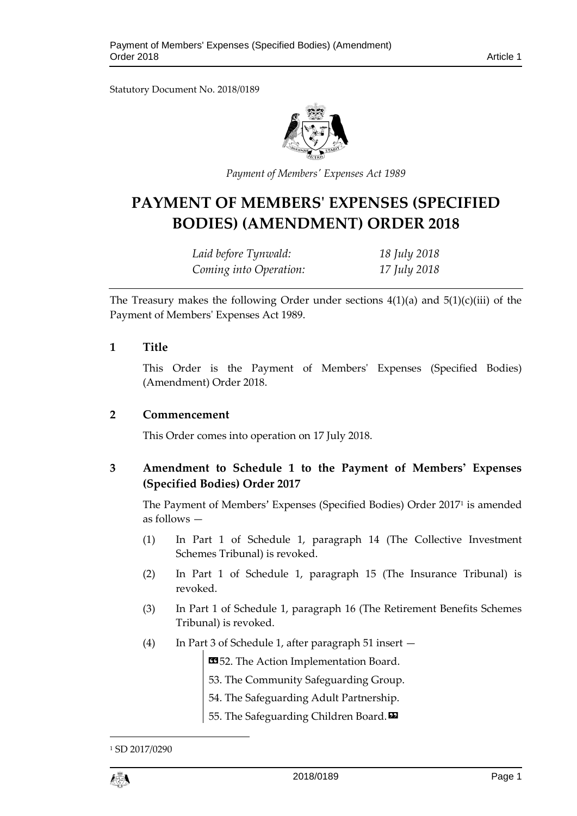Statutory Document No. 2018/0189



*Payment of Members' Expenses Act 1989*

# **PAYMENT OF MEMBERS' EXPENSES (SPECIFIED BODIES) (AMENDMENT) ORDER 2018**

| Laid before Tynwald:   | 18 July 2018 |
|------------------------|--------------|
| Coming into Operation: | 17 July 2018 |

The Treasury makes the following Order under sections  $4(1)(a)$  and  $5(1)(c)(iii)$  of the Payment of Members' Expenses Act 1989.

#### **1 Title**

This Order is the Payment of Members' Expenses (Specified Bodies) (Amendment) Order 2018.

#### **2 Commencement**

This Order comes into operation on 17 July 2018.

### **3 Amendment to Schedule 1 to the Payment of Members' Expenses (Specified Bodies) Order 2017**

The Payment of Members' Expenses (Specified Bodies) Order 2017<sup>1</sup> is amended as follows —

- (1) In Part 1 of Schedule 1, paragraph 14 (The Collective Investment Schemes Tribunal) is revoked.
- (2) In Part 1 of Schedule 1, paragraph 15 (The Insurance Tribunal) is revoked.
- (3) In Part 1 of Schedule 1, paragraph 16 (The Retirement Benefits Schemes Tribunal) is revoked.
- (4) In Part 3 of Schedule 1, after paragraph 51 insert —

**1352.** The Action Implementation Board.

- 53. The Community Safeguarding Group.
- 54. The Safeguarding Adult Partnership.
- 55. The Safeguarding Children Board.

<sup>1</sup> SD 2017/0290



1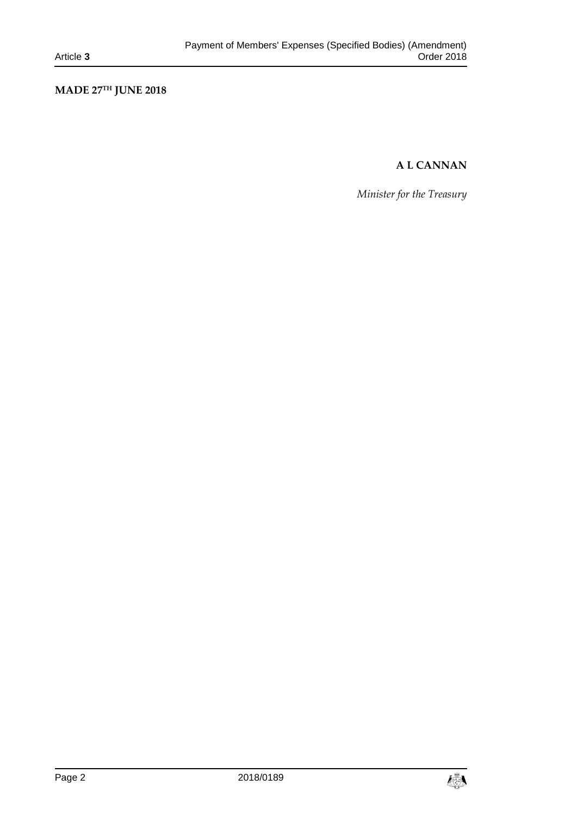# **MADE 27TH JUNE 2018**

## **A L CANNAN**

*Minister for the Treasury*